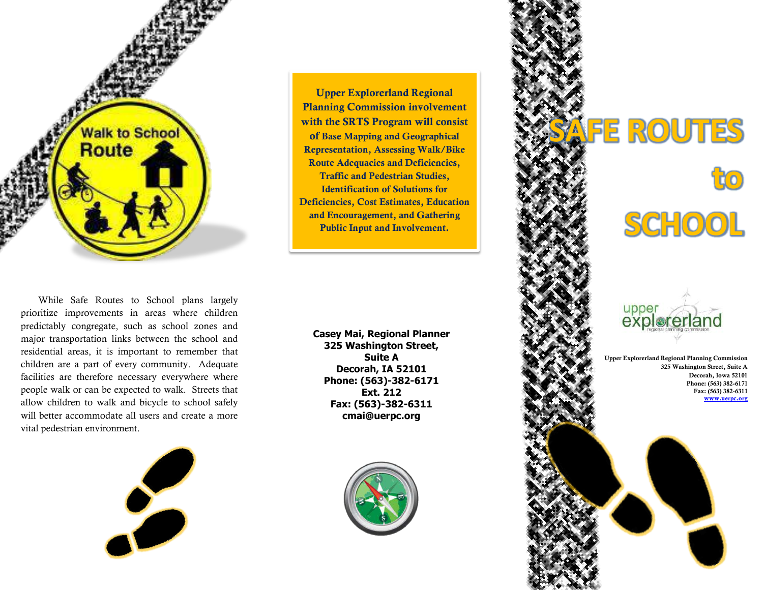

While Safe Routes to School plans largely prioritize improvements in areas where children predictably congregate, such as school zones and major transportation links between the school and residential areas, it is important to remember that children are a part of every community. Adequate facilities are therefore necessary everywhere where people walk or can be expected to walk. Streets that allow children to walk and bicycle to school safely will better accommodate all users and create a more vital pedestrian environment.



**Upper Explorerland Regional Planning Commission involvement with the SRTS Program will consist of Base Mapping and Geographical Representation, Assessing Walk/Bike Route Adequacies and Deficiencies, Traffic and Pedestrian Studies, Identification of Solutions for Deficiencies, Cost Estimates, Education and Encouragement, and Gathering Public Input and Involvement.**

**Casey Mai, Regional Planner 325 Washington Street, Suite A Decorah, IA 52101 Phone: (563)-382-6171 Ext. 212 Fax: (563)-382-6311 cmai@uerpc.org**